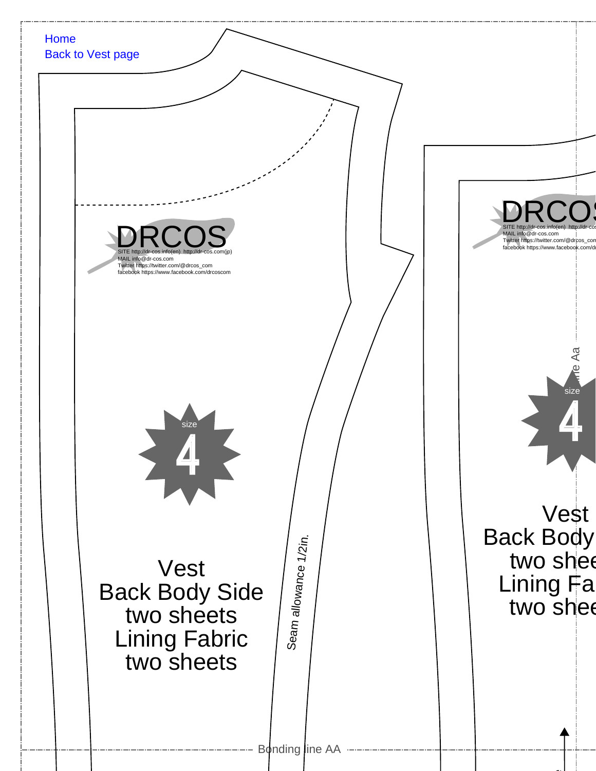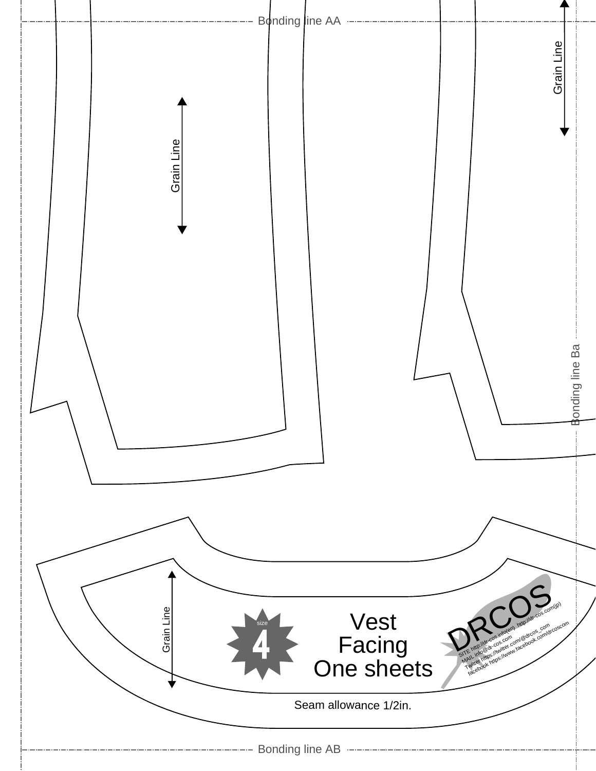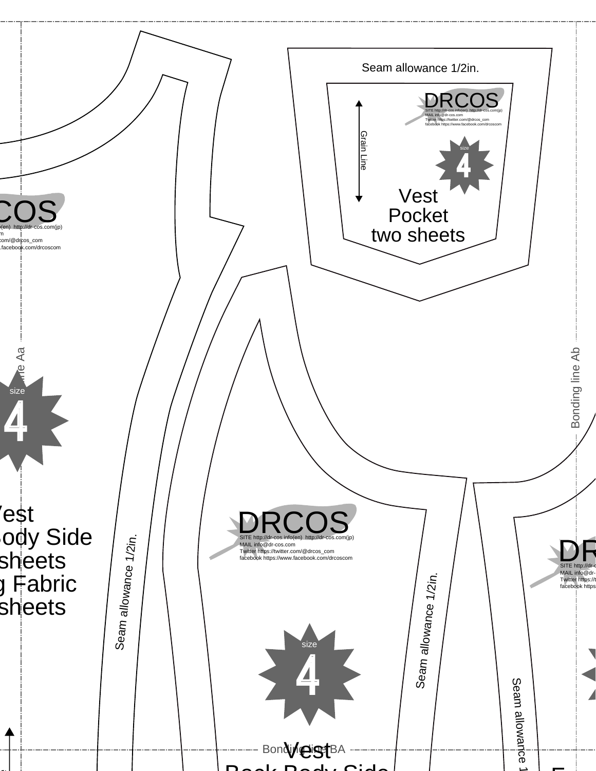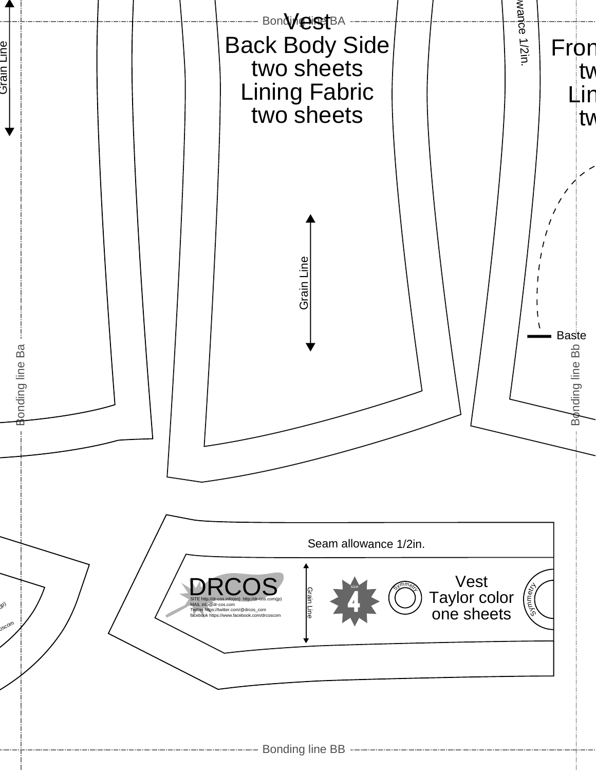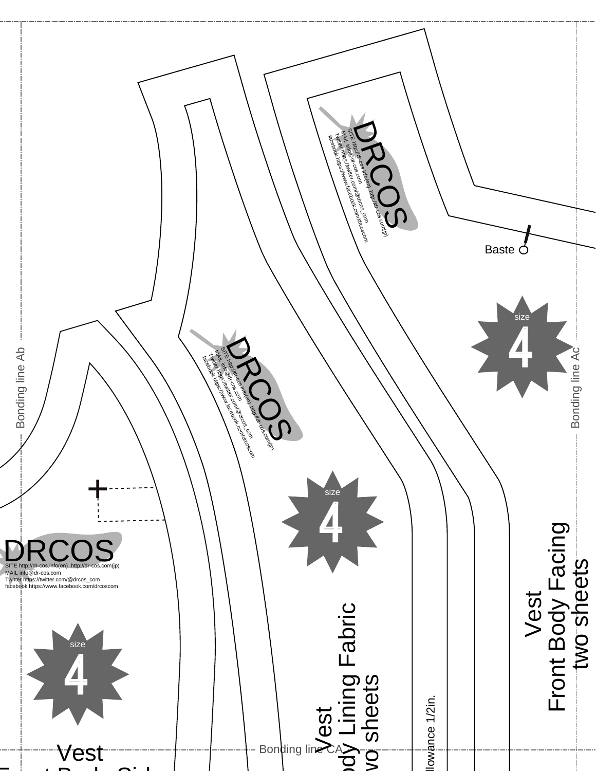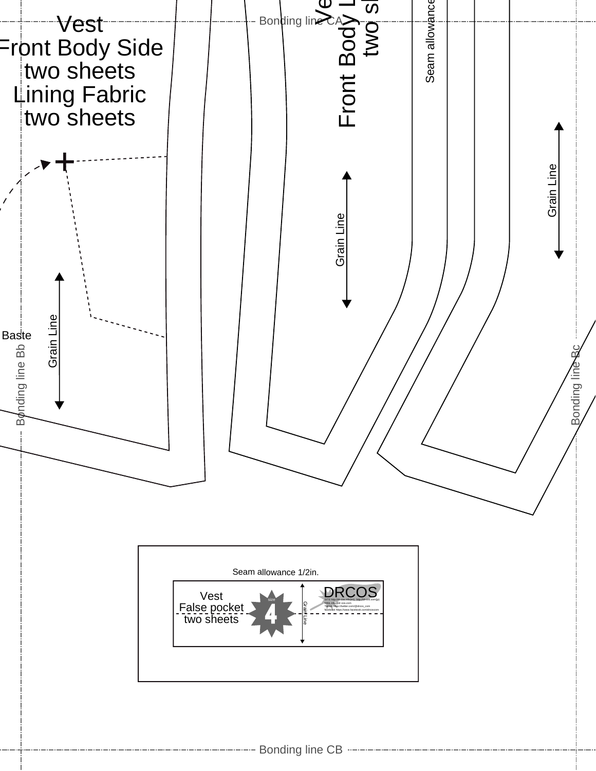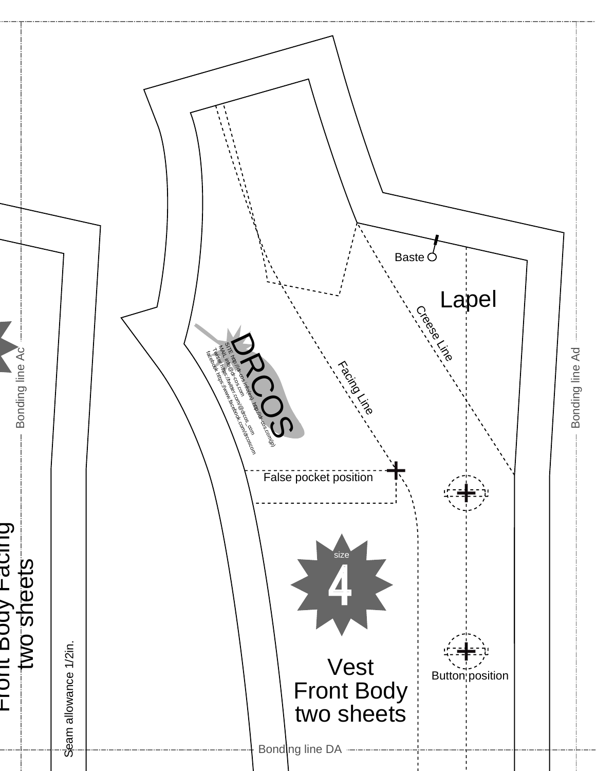